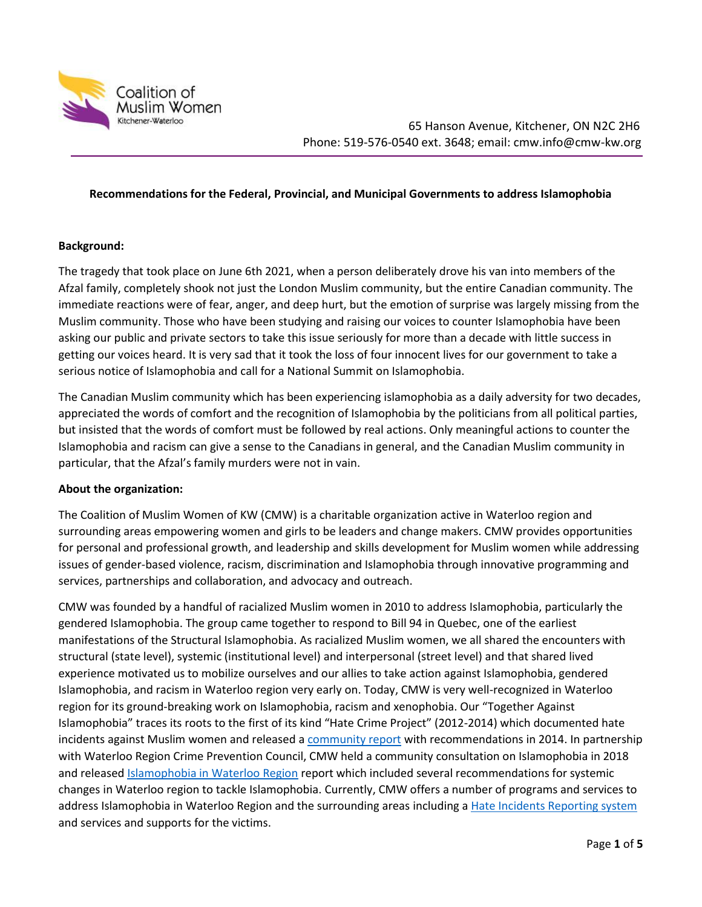

# **Recommendations for the Federal, Provincial, and Municipal Governments to address Islamophobia**

# **Background:**

The tragedy that took place on June 6th 2021, when a person deliberately drove his van into members of the Afzal family, completely shook not just the London Muslim community, but the entire Canadian community. The immediate reactions were of fear, anger, and deep hurt, but the emotion of surprise was largely missing from the Muslim community. Those who have been studying and raising our voices to counter Islamophobia have been asking our public and private sectors to take this issue seriously for more than a decade with little success in getting our voices heard. It is very sad that it took the loss of four innocent lives for our government to take a serious notice of Islamophobia and call for a National Summit on Islamophobia.

The Canadian Muslim community which has been experiencing islamophobia as a daily adversity for two decades, appreciated the words of comfort and the recognition of Islamophobia by the politicians from all political parties, but insisted that the words of comfort must be followed by real actions. Only meaningful actions to counter the Islamophobia and racism can give a sense to the Canadians in general, and the Canadian Muslim community in particular, that the Afzal's family murders were not in vain.

### **About the organization:**

The Coalition of Muslim Women of KW (CMW) is a charitable organization active in Waterloo region and surrounding areas empowering women and girls to be leaders and change makers. CMW provides opportunities for personal and professional growth, and leadership and skills development for Muslim women while addressing issues of gender-based violence, racism, discrimination and Islamophobia through innovative programming and services, partnerships and collaboration, and advocacy and outreach.

CMW was founded by a handful of racialized Muslim women in 2010 to address Islamophobia, particularly the gendered Islamophobia. The group came together to respond to Bill 94 in Quebec, one of the earliest manifestations of the Structural Islamophobia. As racialized Muslim women, we all shared the encounters with structural (state level), systemic (institutional level) and interpersonal (street level) and that shared lived experience motivated us to mobilize ourselves and our allies to take action against Islamophobia, gendered Islamophobia, and racism in Waterloo region very early on. Today, CMW is very well-recognized in Waterloo region for its ground-breaking work on Islamophobia, racism and xenophobia. Our "Together Against Islamophobia" traces its roots to the first of its kind "Hate Crime Project" (2012-2014) which documented hate incidents against Muslim women and released a [community report](http://cmw-kw.org/pdf/hatecrimes.pdf) with recommendations in 2014. In partnership with Waterloo Region Crime Prevention Council, CMW held a community consultation on Islamophobia in 2018 and released [Islamophobia in Waterloo Region](http://cmw-kw.org/pdf/islamophobia.pdf) report which included several recommendations for systemic changes in Waterloo region to tackle Islamophobia. Currently, CMW offers a number of programs and services to address Islamophobia in Waterloo Region and the surrounding areas including a [Hate Incidents Reporting system](https://reportinghate.ca/) and services and supports for the victims.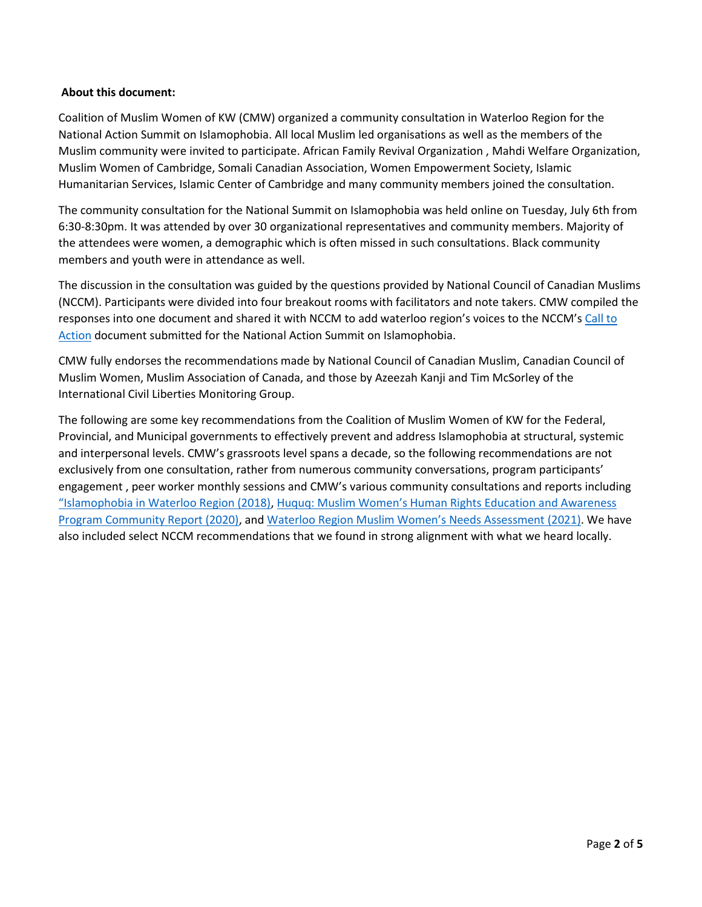# **About this document:**

Coalition of Muslim Women of KW (CMW) organized a community consultation in Waterloo Region for the National Action Summit on Islamophobia. All local Muslim led organisations as well as the members of the Muslim community were invited to participate. African Family Revival Organization , Mahdi Welfare Organization, Muslim Women of Cambridge, Somali Canadian Association, Women Empowerment Society, Islamic Humanitarian Services, Islamic Center of Cambridge and many community members joined the consultation.

The community consultation for the National Summit on Islamophobia was held online on Tuesday, July 6th from 6:30-8:30pm. It was attended by over 30 organizational representatives and community members. Majority of the attendees were women, a demographic which is often missed in such consultations. Black community members and youth were in attendance as well.

The discussion in the consultation was guided by the questions provided by National Council of Canadian Muslims (NCCM). Participants were divided into four breakout rooms with facilitators and note takers. CMW compiled the responses into one document and shared it with NCCM to add waterloo region's voices to the NCCM's Call to [Action](https://mk0nccmorganizadbkcm.kinstacdn.com/wp-content/uploads/2021/06/Policy-Recommendations_NCCM.pdf) document submitted for the National Action Summit on Islamophobia.

CMW fully endorses the recommendations made by National Council of Canadian Muslim, Canadian Council of Muslim Women, Muslim Association of Canada, and those by Azeezah Kanji and Tim McSorley of the International Civil Liberties Monitoring Group.

The following are some key recommendations from the Coalition of Muslim Women of KW for the Federal, Provincial, and Municipal governments to effectively prevent and address Islamophobia at structural, systemic and interpersonal levels. CMW's grassroots level spans a decade, so the following recommendations are not exclusively from one consultation, rather from numerous community conversations, program participants' engagement , peer worker monthly sessions and CMW's various community consultations and reports including ["Islamophobia in Waterloo Region \(2018\)](http://cmw-kw.org/pdf/islamophobia.pdf), [Huquq: Muslim Women's Human Rights Education a](http://cmw-kw.org/pdf/HUQUQ-Final%20Community%20Report.pdf)nd Awareness [Program Community Report \(2020\),](http://cmw-kw.org/pdf/HUQUQ-Final%20Community%20Report.pdf) and [Waterloo Region Muslim Women's Needs Assessment](http://cmw-kw.org/pdf/Equitable%20Services.pdf) (2021). We have also included select NCCM recommendations that we found in strong alignment with what we heard locally.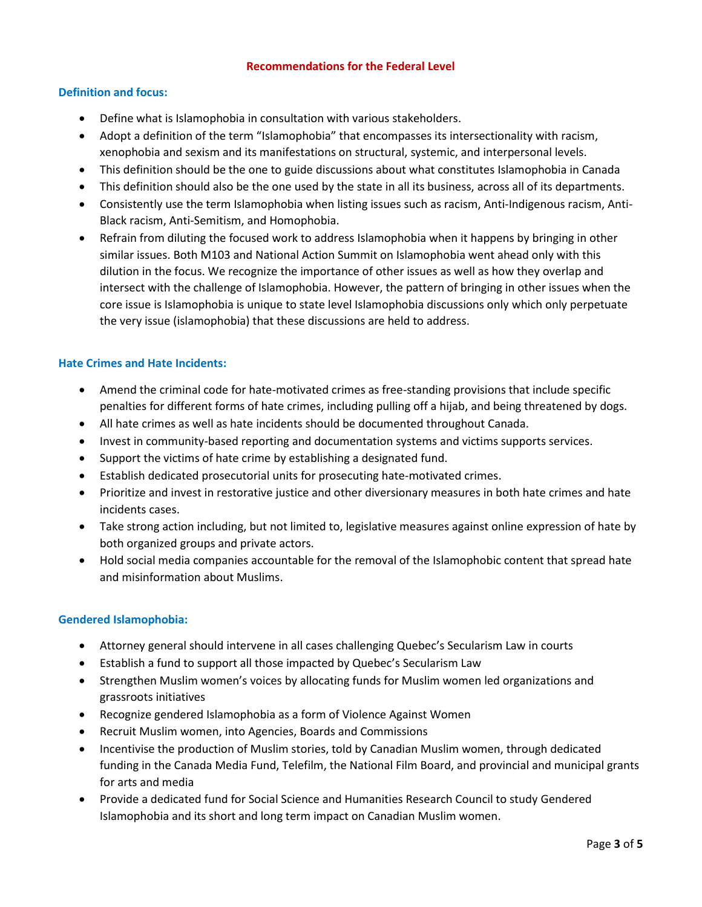# **Recommendations for the Federal Level**

# **Definition and focus:**

- Define what is Islamophobia in consultation with various stakeholders.
- Adopt a definition of the term "Islamophobia" that encompasses its intersectionality with racism, xenophobia and sexism and its manifestations on structural, systemic, and interpersonal levels.
- This definition should be the one to guide discussions about what constitutes Islamophobia in Canada
- This definition should also be the one used by the state in all its business, across all of its departments.
- Consistently use the term Islamophobia when listing issues such as racism, Anti-Indigenous racism, Anti-Black racism, Anti-Semitism, and Homophobia.
- Refrain from diluting the focused work to address Islamophobia when it happens by bringing in other similar issues. Both M103 and National Action Summit on Islamophobia went ahead only with this dilution in the focus. We recognize the importance of other issues as well as how they overlap and intersect with the challenge of Islamophobia. However, the pattern of bringing in other issues when the core issue is Islamophobia is unique to state level Islamophobia discussions only which only perpetuate the very issue (islamophobia) that these discussions are held to address.

# **Hate Crimes and Hate Incidents:**

- Amend the criminal code for hate-motivated crimes as free-standing provisions that include specific penalties for different forms of hate crimes, including pulling off a hijab, and being threatened by dogs.
- All hate crimes as well as hate incidents should be documented throughout Canada.
- Invest in community-based reporting and documentation systems and victims supports services.
- Support the victims of hate crime by establishing a designated fund.
- Establish dedicated prosecutorial units for prosecuting hate-motivated crimes.
- Prioritize and invest in restorative justice and other diversionary measures in both hate crimes and hate incidents cases.
- Take strong action including, but not limited to, legislative measures against online expression of hate by both organized groups and private actors.
- Hold social media companies accountable for the removal of the Islamophobic content that spread hate and misinformation about Muslims.

### **Gendered Islamophobia:**

- Attorney general should intervene in all cases challenging Quebec's Secularism Law in courts
- Establish a fund to support all those impacted by Quebec's Secularism Law
- Strengthen Muslim women's voices by allocating funds for Muslim women led organizations and grassroots initiatives
- Recognize gendered Islamophobia as a form of Violence Against Women
- Recruit Muslim women, into Agencies, Boards and Commissions
- Incentivise the production of Muslim stories, told by Canadian Muslim women, through dedicated funding in the Canada Media Fund, Telefilm, the National Film Board, and provincial and municipal grants for arts and media
- Provide a dedicated fund for Social Science and Humanities Research Council to study Gendered Islamophobia and its short and long term impact on Canadian Muslim women.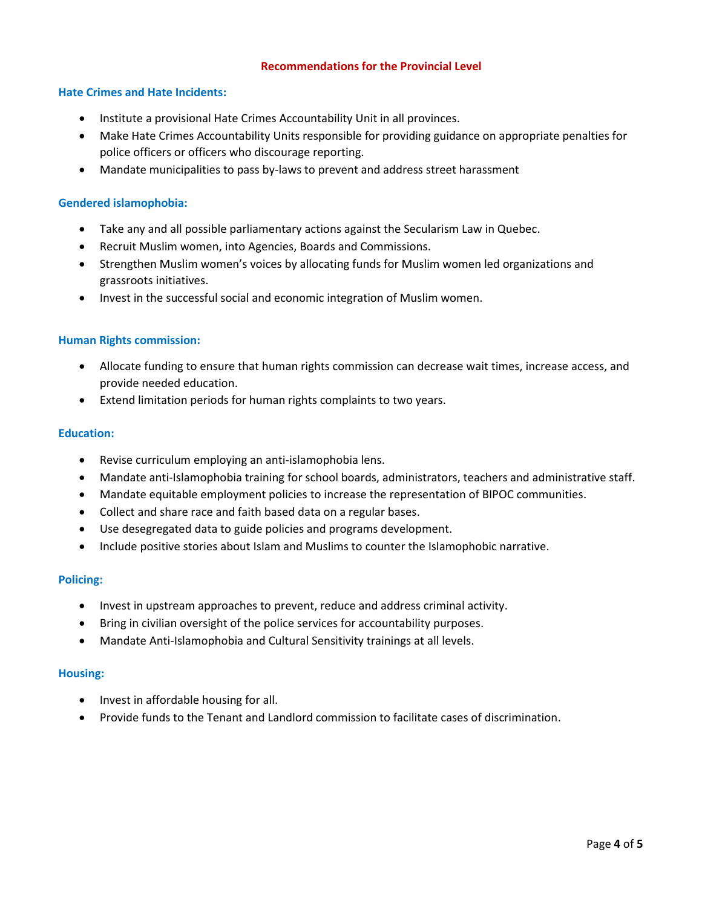# **Recommendations for the Provincial Level**

## **Hate Crimes and Hate Incidents:**

- Institute a provisional Hate Crimes Accountability Unit in all provinces.
- Make Hate Crimes Accountability Units responsible for providing guidance on appropriate penalties for police officers or officers who discourage reporting.
- Mandate municipalities to pass by-laws to prevent and address street harassment

## **Gendered islamophobia:**

- Take any and all possible parliamentary actions against the Secularism Law in Quebec.
- Recruit Muslim women, into Agencies, Boards and Commissions.
- Strengthen Muslim women's voices by allocating funds for Muslim women led organizations and grassroots initiatives.
- Invest in the successful social and economic integration of Muslim women.

### **Human Rights commission:**

- Allocate funding to ensure that human rights commission can decrease wait times, increase access, and provide needed education.
- Extend limitation periods for human rights complaints to two years.

#### **Education:**

- Revise curriculum employing an anti-islamophobia lens.
- Mandate anti-Islamophobia training for school boards, administrators, teachers and administrative staff.
- Mandate equitable employment policies to increase the representation of BIPOC communities.
- Collect and share race and faith based data on a regular bases.
- Use desegregated data to guide policies and programs development.
- Include positive stories about Islam and Muslims to counter the Islamophobic narrative.

### **Policing:**

- Invest in upstream approaches to prevent, reduce and address criminal activity.
- Bring in civilian oversight of the police services for accountability purposes.
- Mandate Anti-Islamophobia and Cultural Sensitivity trainings at all levels.

### **Housing:**

- Invest in affordable housing for all.
- Provide funds to the Tenant and Landlord commission to facilitate cases of discrimination.